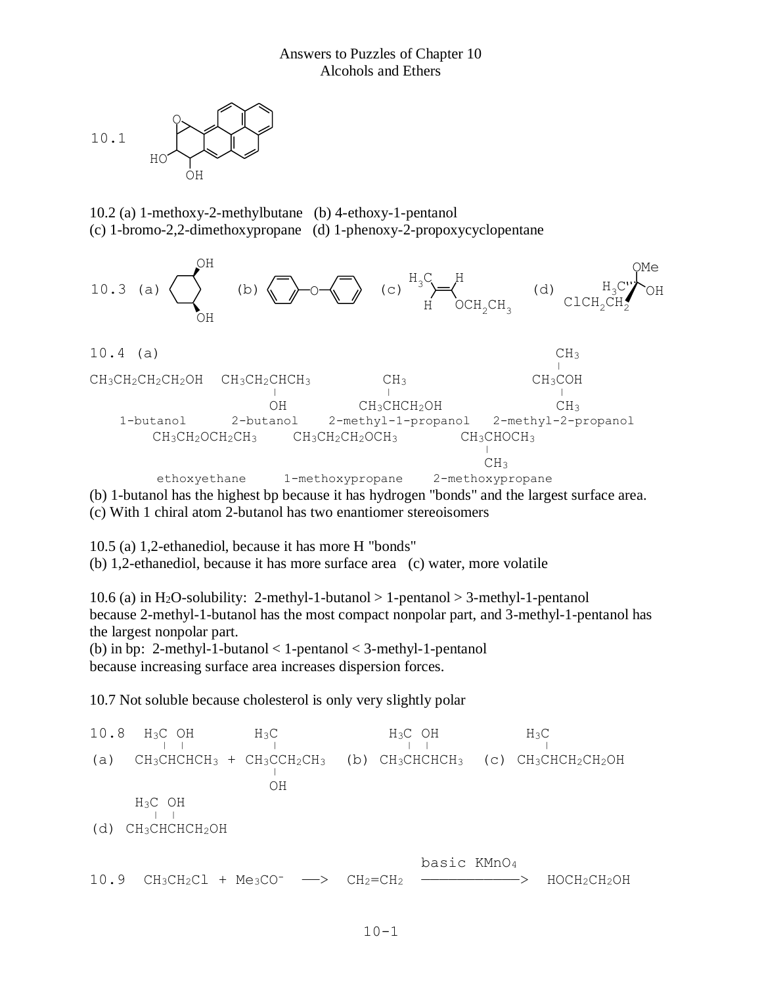

10.2 (a) 1-methoxy-2-methylbutane (b) 4-ethoxy-1-pentanol (c) 1-bromo-2,2-dimethoxypropane (d) 1-phenoxy-2-propoxycyclopentane



(c) With 1 chiral atom 2-butanol has two enantiomer stereoisomers

10.5 (a) 1,2-ethanediol, because it has more H "bonds"

(b) 1,2-ethanediol, because it has more surface area (c) water, more volatile

10.6 (a) in H<sub>2</sub>O-solubility: 2-methyl-1-butanol  $> 1$ -pentanol  $> 3$ -methyl-1-pentanol because 2-methyl-1-butanol has the most compact nonpolar part, and 3-methyl-1-pentanol has the largest nonpolar part.

(b) in bp: 2-methyl-1-butanol  $<$  1-pentanol  $<$  3-methyl-1-pentanol because increasing surface area increases dispersion forces.

10.7 Not soluble because cholesterol is only very slightly polar

10.8 H<sub>3</sub>C OH H<sub>3</sub>C H<sub>3</sub>C OH H<sub>3</sub>C OH H<sub>3</sub>C  $\frac{10.0}{100}$  in  $\frac{1130}{110}$  in  $\frac{1130}{110}$  in  $\frac{1130}{110}$  in  $\frac{1130}{110}$ (a)  $CH_3CHCHCH_3 + CH_3CCH_2CH_3$  (b)  $CH_3CHCHCH_3$  (c)  $CH_3CHCH_2CH_2OH$  OH H3C OH <sup>|</sup> <sup>|</sup> (d) CH3CHCHCH2OH basic KMnO<sup>4</sup>  $10.9$   $CH_3CH_2Cl$  +  $Me_3CO^ \longrightarrow$   $CH_2=CH_2$   $\longrightarrow$   $HOCH_2CH_2OH$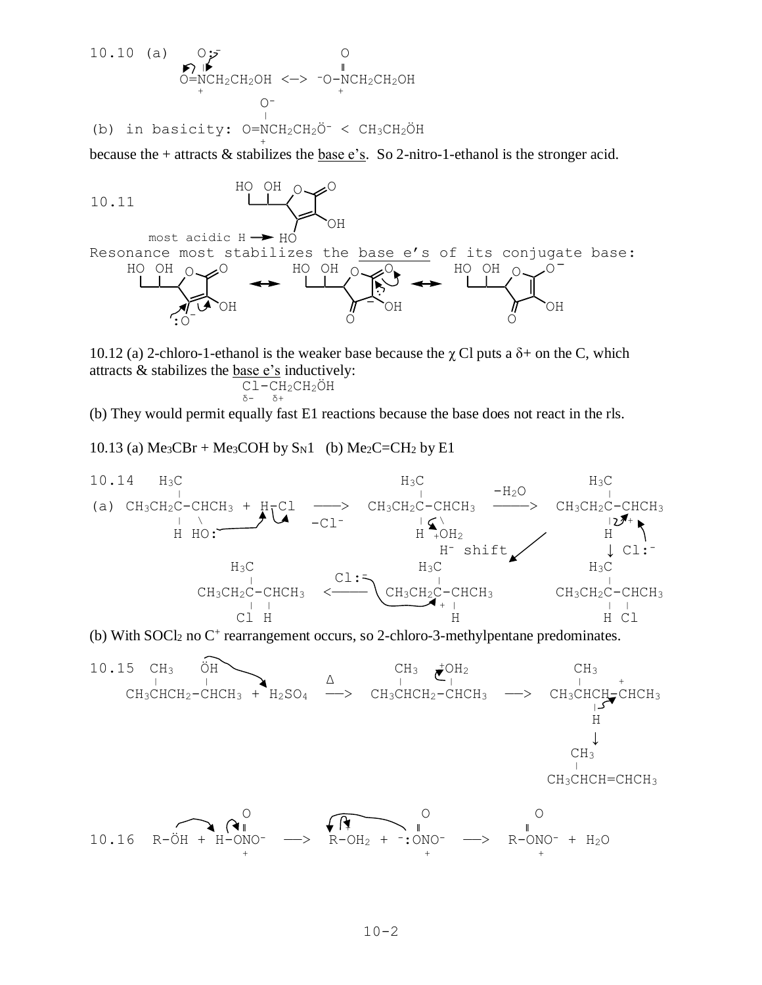10.10 (a) 0;  
\n
$$
\begin{array}{ccc}\n&0\\
&0=NCH_2CH_2OH <-> ^ -O-NCH_2CH_2OH\\
&0=NCH_2CH_2OH <-> ^ -O-NCH_2CH_2OH\\
&0=&&|&&\\
&0=&&|&&\\
&0=&&|&&\\
&0=&&|&&\\
&0=&&|&&\\
&0=&&|&&\\
&0=&&|&&\\
&0=&&|&&\\
&0=&&|&&\\
&0=&&|&&\\
&0=&&|&&\\
&0=&&|&&\\
&0=&&|&&\\
&0=&&|&&\\
&0=&&|&&\\
&0=&&|&&\\
&0=&&|&&\\
&0=&&|&&\\
&0=&&|&&\\
&0=&&|&&\\
&0=&&|&&\\
&0=&&|&&\\
&0=&&|&&\\
&0=&&|&&\\
&0=&&|&&\\
&0=&&|&&\\
&0=&&|&&\\
&0=&&|&&\\
&0=&&|&&\\
&0=&&|&&\\
&0=&&|&&\\
&0=&&|&&\\
&0=&&|&&\\
&0=&&|&&\\
&0=&&|&&\\
&0=&&|&&\\
&0=&&|&&\\
&0=&&|&&\\
&0=&&|&&\\
&0=&&|&&\\
&0=&&|&&\\
&0=&&|&&\\
&0=&&|&&\\
&0=&&|&&\\
&0=&&|&&\\
&0=&&|&&\\
&0=&&|&&\\
&0=&&|&&\\
&0=&&|&&\\
&0=&&|&&\\
&0=&&|&&\\
&0=&&|&&\\
&0=&&|&&\\
&0=&&|&&\\
&0=&&|&&\\
&0=&&|&&\\
&0=&&|&&\\
&0=&&|&&\\
&0=&&|&&\\
&0=&&|&&\\
&0=&&|&&\\
&0=&&|&&\\
&0=&&|&&\\
&0=&&|&&\\
&0=&&|&&\\
&0=&&|&&\\
&0=&&|&&\\
&0=&&|&&\\
&0=&&|&&\\
&0=&&|&&\\
&0=&&|&&\\
&0=&&|&&\\
&0=&&|&&\\
&0=&&|&&\\
&0=&&|&&\\
&0=&&|&&\\
&0=&&|&&\\
&0=&&|&&\\
&0=&&|&&\\
&0=&&|&&\\
&0=&&|&&\\
&0=&&|&&\\
&0=&&|&&\\
&0=&&|&&\\
&0=&&
$$

because the + attracts & stabilizes the <u>base e's</u>. So 2-nitro-1-ethanol is the stronger acid.



10.12 (a) 2-chloro-1-ethanol is the weaker base because the  $\chi$  Cl puts a  $\delta$ + on the C, which attracts  $&$  stabilizes the base  $e$ 's inductively:

$$
\begin{array}{cc}\nCL - CH_2CH_2OH\\ \n\delta + \n\end{array}
$$

(b) They would permit equally fast E1 reactions because the base does not react in the rls.

10.13 (a) Me<sub>3</sub>CBr + Me<sub>3</sub>COH by  $S_N1$  (b) Me<sub>2</sub>C=CH<sub>2</sub> by E1



(b) With SOCl<sub>2</sub> no C<sup>+</sup> rearrangement occurs, so 2-chloro-3-methylpentane predominates.

10.15 CH<sub>3</sub> 
$$
\overrightarrow{OH}
$$
  
\nCH<sub>3</sub>CHCH<sub>2</sub>-CHCH<sub>3</sub> + H<sub>2</sub>SO<sub>4</sub>  $\xrightarrow{C_{13}$  CH<sub>3</sub> + CH<sub>2</sub>-CHCH<sub>3</sub>  $\xrightarrow{C_{21}}$  CH<sub>3</sub> CHCH<sub>2</sub>-CHCH<sub>3</sub>  $\xrightarrow{C_{31}}$  CH<sub>3</sub> CHCH<sub>2</sub>-CHCH<sub>3</sub>  $\xrightarrow{C_{43}}$  CH<sub>3</sub> CHCH<sub>4</sub>-CHCH<sub>3</sub>  $\xrightarrow{H}$  CH<sub>3</sub>  $\xrightarrow{C_{43}}$  CH<sub>3</sub> CHCH<sub>4</sub> CHCH<sub>3</sub>  $\xrightarrow{C_{43}}$  CH<sub>3</sub> CHCH<sub>4</sub> CHCH<sub>3</sub>  $\xrightarrow{C_{43}}$  CH<sub>3</sub> CHCH<sub>4</sub> CHCH<sub>3</sub>  $\xrightarrow{C_{43}}$  CH<sub>3</sub> CHCH<sub>4</sub> CHCH<sub>3</sub>  $\xrightarrow{C_{43}}$  CH<sub>3</sub> CHCH<sub>4</sub> CHCH<sub>3</sub>  $\xrightarrow{C_{43}}$  CH<sub>3</sub> CHCH<sub>4</sub> CHCH<sub>3</sub>  $\xrightarrow{C_{43}}$  CH<sub>3</sub> CHCH<sub>4</sub> CHCH<sub>3</sub>  $\xrightarrow{C_{43}}$  CH<sub>3</sub> CHCH<sub>4</sub> CHCH<sub>3</sub>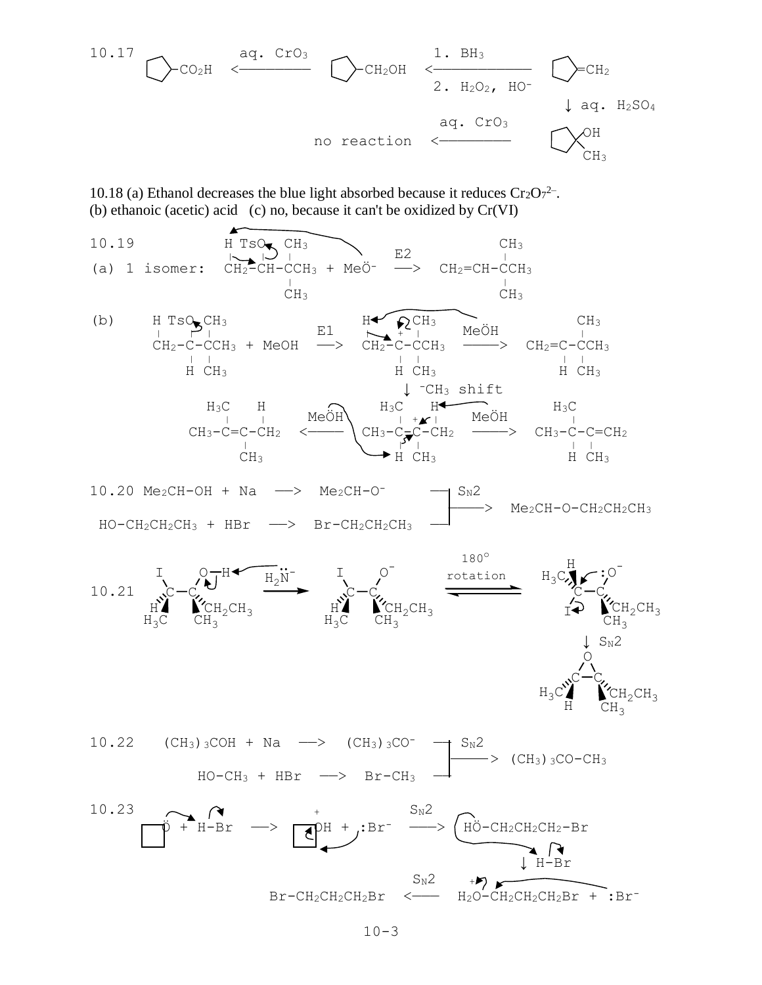10.17 aq. CrO3 1. BH<sup>3</sup> -CO2H <———————— -CH2OH <——————————— =CH<sup>2</sup> 2. H2O2, HO- ↓ aq. H2SO<sup>4</sup> aq. CrO<sup>3</sup> OH no reaction <———————— CH<sup>3</sup>

10.18 (a) Ethanol decreases the blue light absorbed because it reduces  $Cr_2O_7^{2-}$ . (b) ethanoic (acetic) acid (c) no, because it can't be oxidized by Cr(VI)



 $10.20$  Me<sub>2</sub>CH-OH + Na  $\rightarrow$  Me<sub>2</sub>CH-O<sup>-</sup>  $\rightarrow$  S<sub>N</sub>2  $\rightarrow$  Me<sub>2</sub>CH-O-CH<sub>2</sub>CH<sub>2</sub>CH<sub>3</sub>  $HO-CH_2CH_2CH_3$  +  $HBr$   $\longrightarrow$   $Br-CH_2CH_2CH_3$ 





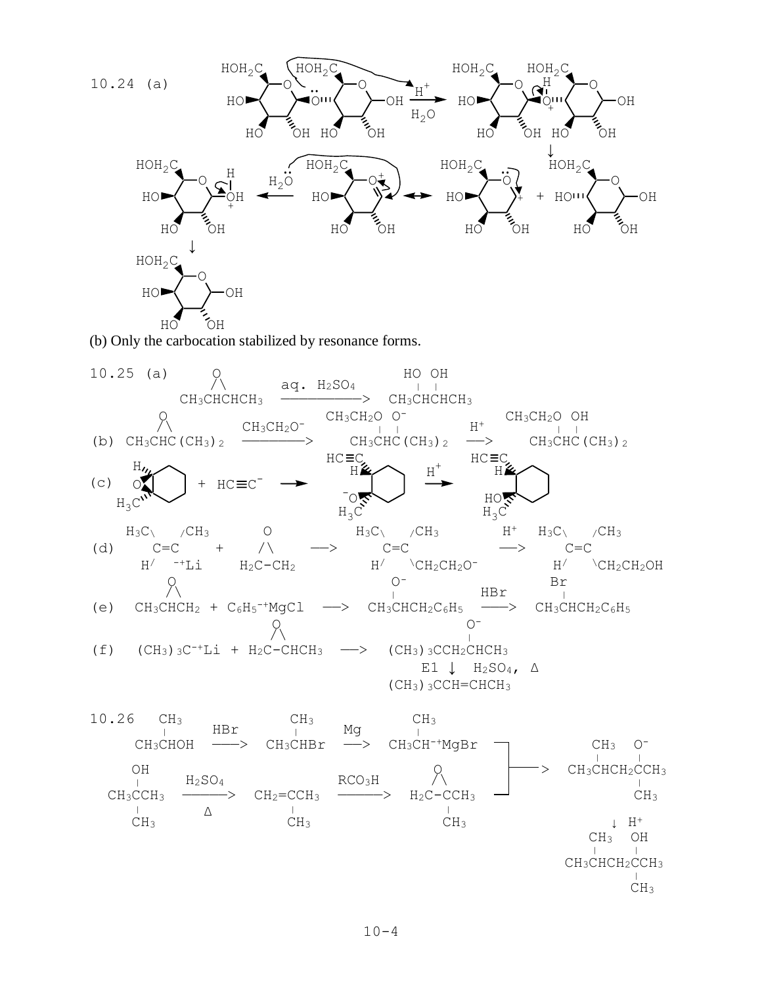

(b) Only the carbocation stabilized by resonance forms.

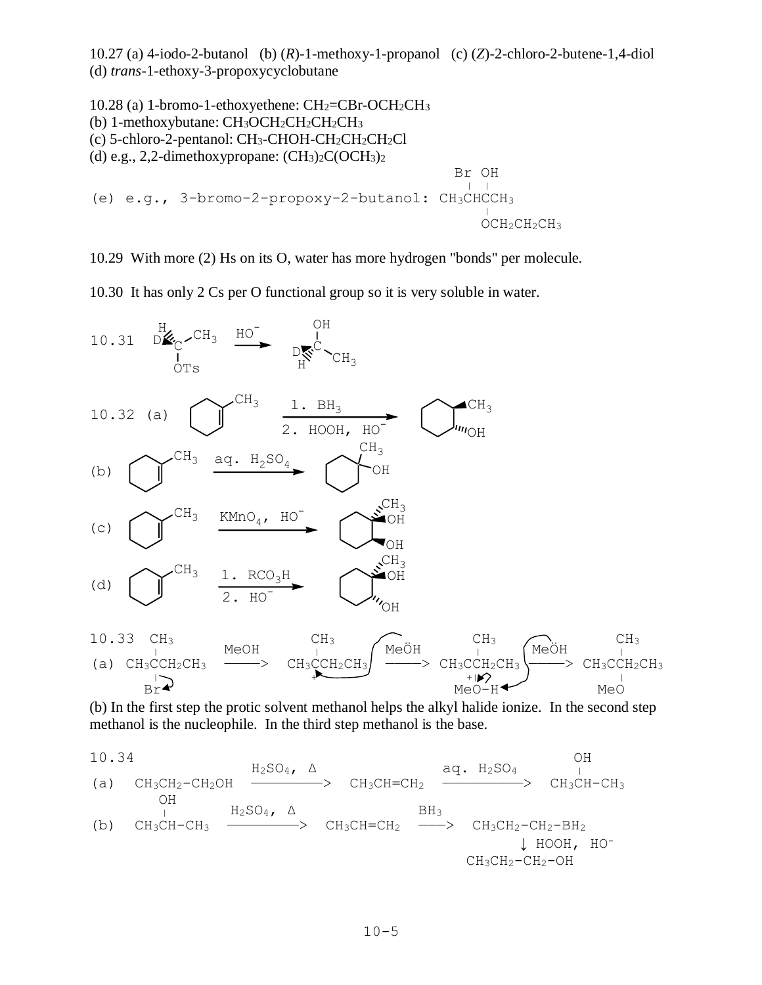10.27 (a) 4-iodo-2-butanol (b) (*R*)-1-methoxy-1-propanol (c) (*Z*)-2-chloro-2-butene-1,4-diol (d) *trans*-1-ethoxy-3-propoxycyclobutane

```
10.28 (a) 1-bromo-1-ethoxyethene: CH<sub>2</sub>=CBr-OCH<sub>2</sub>CH<sub>3</sub>(b) 1-methoxybutane: CH3OCH2CH2CH2CH3
(c) 5-chloro-2-pentanol: CH_3-CHOH-CH<sub>2</sub>CH<sub>2</sub>CH<sub>2</sub>Cl
(d) e.g., 2,2-dimethoxypropane: (CH_3)_2C(OCH_3)_2 Br OH
 | |
(e) e.g., 3-bromo-2-propoxy-2-butanol: CH3CHCCH3
(0, 0.9) \sigma become a proposed a bacanon. Onlying
                                                         OCH2CH2CH3
```
10.29 With more (2) Hs on its O, water has more hydrogen "bonds" per molecule.

10.30 It has only 2 Cs per O functional group so it is very soluble in water.



(b) In the first step the protic solvent methanol helps the alkyl halide ionize. In the second step methanol is the nucleophile. In the third step methanol is the base.

10.34  
\n(a) CH<sub>3</sub>CH<sub>2</sub>-CH<sub>2</sub>OH  
\n
$$
\xrightarrow{CH_3CH-CH_2}
$$
 CH<sub>3</sub>CH=CH<sub>2</sub>  $\xrightarrow{aq. H_2SO_4}$  CH<sub>3</sub>CH-CH<sub>3</sub>  
\n $\xrightarrow{OH}$  CH<sub>3</sub>CH-CH<sub>3</sub>  $\xrightarrow{H_2SO_4$ ,  $\Delta$  CH<sub>3</sub>CH=CH<sub>2</sub>  $\xrightarrow{BH_3}$  CH<sub>3</sub>CH<sub>2</sub>-CH<sub>2</sub>-BH<sub>2</sub>  
\n $\downarrow$  HOOH, HO-  
\nCH<sub>3</sub>CH<sub>2</sub>-CH<sub>2</sub>-OH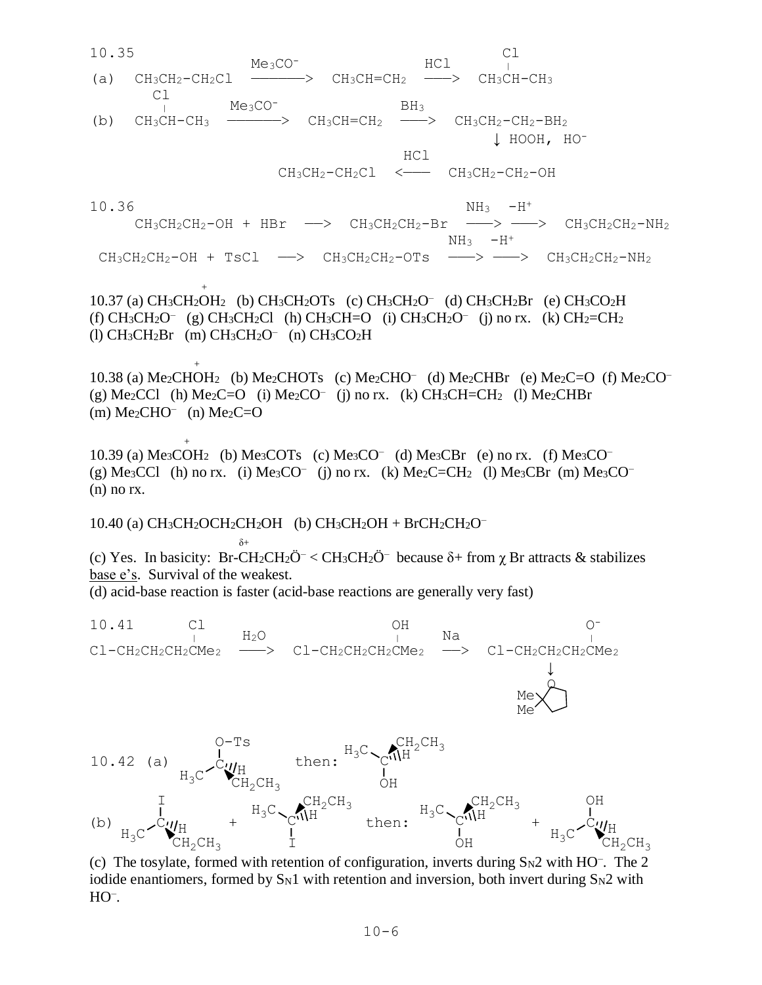10.35 Cl  $Me<sub>3</sub>CO<sup>-</sup>$  HCl  $\overline{C}$ (a)  $CH_3CH_2-CH_2Cl$  —————>  $CH_3CH=CH_2$  ———>  $CH_3CH-CH_3$  Cl  $M_e$ <sub>3</sub>CO<sup>-</sup> BH<sub>3</sub> (b)  $CH_3CH-CH_3$  —————>  $CH_3CH=CH_2$  ——>  $CH_3CH_2-CH_2-BH_2$  ↓ HOOH, HO- HCl  $CH_3CH_2-CH_2Cl$  <---  $CH_3CH_2-CH_2-OH$  $10.36$  NH<sub>3</sub>  $-H^+$  $\text{CH}_3\text{CH}_2\text{CH}_2-\text{OH} + \text{HBr} \longrightarrow \text{CH}_3\text{CH}_2\text{CH}_2-\text{Br} \longrightarrow \longrightarrow \text{CH}_3\text{CH}_2\text{CH}_2-\text{NH}_2$  $NH_3$   $-H^+$  $CH_3CH_2CH_2-OH + TsCl \longrightarrow CH_3CH_2CH_2-OTs \longrightarrow \longrightarrow CH_3CH_2CH_2-NH_2$  $+$ 10.37 (a) CH3CH2OH<sup>2</sup> (b) CH3CH2OTs (c) CH3CH2O– (d) CH3CH2Br (e) CH3CO2H (f)  $CH_3CH_2O^-$  (g)  $CH_3CH_2Cl$  (h)  $CH_3CH=O$  (i)  $CH_3CH_2O^-$  (j) no rx. (k)  $CH_2=CH_2$ (l) CH3CH2Br (m) CH3CH2O– (n) CH3CO2H  $+$ 10.38 (a) Me<sub>2</sub>CHOH<sub>2</sub> (b) Me<sub>2</sub>CHOTs (c) Me<sub>2</sub>CHO<sup>-</sup> (d) Me<sub>2</sub>CHBr (e) Me<sub>2</sub>C=O (f) Me<sub>2</sub>CO<sup>-</sup> (g) Me<sub>2</sub>CCl (h) Me<sub>2</sub>C=O (i) Me<sub>2</sub>CO<sup>-</sup> (j) no rx. (k) CH<sub>3</sub>CH=CH<sub>2</sub> (l) Me<sub>2</sub>CHBr  $(m)$  Me<sub>2</sub>CHO<sup>-</sup> (n) Me<sub>2</sub>C=O + 10.39 (a)  $Me<sub>3</sub>COH<sub>2</sub>$  (b)  $Me<sub>3</sub>COT<sub>s</sub>$  (c)  $Me<sub>3</sub>CO<sup>-</sup>$  (d)  $Me<sub>3</sub>CBr$  (e) no rx. (f)  $Me<sub>3</sub>CO<sup>-</sup>$ (g) Me<sub>3</sub>CCl (h) no rx. (i) Me<sub>3</sub>CO<sup>-</sup> (j) no rx. (k) Me<sub>2</sub>C=CH<sub>2</sub> (l) Me<sub>3</sub>CBr (m) Me<sub>3</sub>CO<sup>-</sup> (n) no rx. 10.40 (a)  $CH_3CH_2OCH_2CH_2OH$  (b)  $CH_3CH_2OH + BrCH_2CH_2O^$  δ+ (c) Yes. In basicity: Br-CH<sub>2</sub>CH<sub>2</sub>Ö<sup>-</sup> < CH<sub>3</sub>CH<sub>2</sub>Ö<sup>-</sup> because  $\delta$ + from  $\chi$  Br attracts & stabilizes base e's. Survival of the weakest. (d) acid-base reaction is faster (acid-base reactions are generally very fast) 10.41 Cl OH OF <sup>|</sup> H2O | Na <sup>|</sup>  $CL-CH_2CH_2CH_2CH_2CMe_2$   $\longrightarrow$  Cl-CH<sub>2</sub>CH<sub>2</sub>CH<sub>2</sub>CMe<sub>2</sub>  $\longrightarrow$  Cl-CH<sub>2</sub>CH<sub>2</sub>CH<sub>2</sub>CMe<sub>2</sub>  $\downarrow$ <u>Design and the second particle in the second particle in the second particle in the second particle in the second</u> **Media** Me O-Ts C  $H_3C$   $CH_2CH_3$ H OH  $^{10.42}$  (a)  $^{1}_{\text{C}}$  then:  $^{H_3C}$   $^{CH_2CH_3}$ I C H  $H_3C \setminus C^{NL}H_2CH_3$  $H_3C \setminus C^{NL}H_2CH_3$ OH C (b)  $\frac{1}{\mu} \sim C \ll 1$  +  $\frac{C}{\mu}$  then:  $\frac{C}{\mu}$  +  $\frac{1}{\mu} \sim C \ll 1$ 

(c) The tosylate, formed with retention of configuration, inverts during  $S_N2$  with HO<sup>-</sup>. The 2 iodide enantiomers, formed by  $S_N1$  with retention and inversion, both invert during  $S_N2$  with HO– .

I

 $H_3C$   $CH_2CH_3$ 

OH

 $H_3C$   $CH_2CH_3$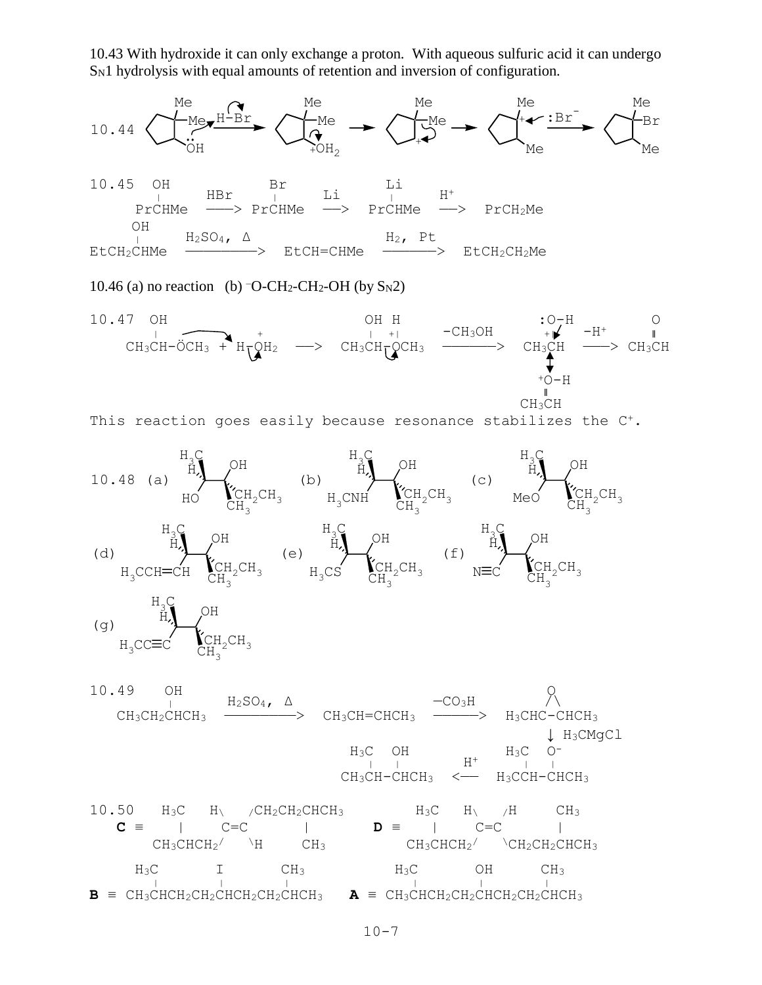10.43 With hydroxide it can only exchange a proton. With aqueous sulfuric acid it can undergo S<sub>N1</sub> hydrolysis with equal amounts of retention and inversion of configuration.